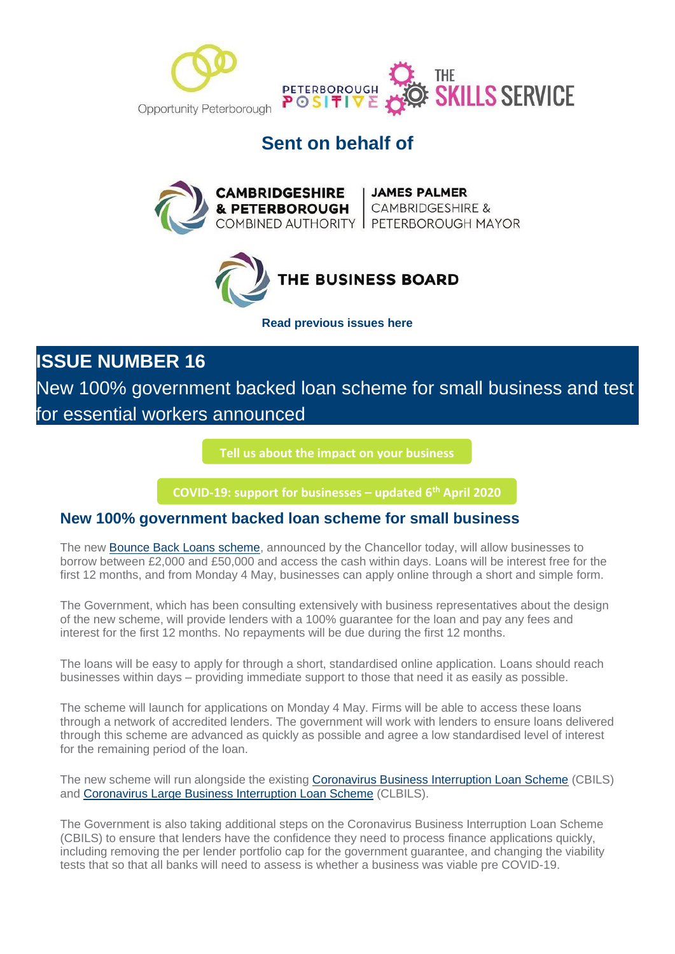

# **Sent on behalf of**





**[Read previous issues here](https://mills.createsend1.com/t/d-l-mttyhtl-l-r/)**

**ISSUE NUMBER 16**

New 100% government backed loan scheme for small business and test for essential workers announced

**[Tell us about the impact](https://i7.t.hubspotemail.net/e2t/c/*W5_QYjd8Ct2dXW7L6T4F39rYHN0/*W2VrCrJ79zhK9W33THgY3X7-Bc0/5/f18dQhb0SmhQ9c-kQvW6FcT5P1m4DtzW1DpP_V7x37qHW6Blzll1Qt2G2VLDpF18CSvhfW8BSny05tgcZsW8rB-lZ39vrHZN8CRB3fV9Fr1MZ_MZcRcgcmVQBZgB5wL96LW1sL3M03MybvyW28d46X63xTt7W58jb5-4K75nCW8hvFmF7NMs04W1ZJgG09dSlS6W35rgCl94-4T0W7sLptq41TlcRW3TwTqz19BjMLN1ks0KjSbGG8W3fSWNv7cvxRcVw0r2s4bQW_qW6c44wG4ftZYfW1xZQXF6KYccyW2Nnhhm49wDTzVnR3Kx5399fJW6vkjM991GYyXW92Gqh46pVBb3VtdCBh8-hSx9W7kHDsW4kVRb4W7vmVWN7tplhrW8Z1Tn-2LB2wFW1XX-rs53SyZmW6Dtps71-rs3LW1GcK6w1XcgmtW1RkvPl1vR--LW6xCzbF1H76RcW8XjHx11MjJWrVkmHmF1J7bfRVfglxL7K_fZwN4Zg5Q0fTlLHV1KH6H1KgFpqW7tKwjk83C22TW7s-rRx7Wt1K5W64Qd463N_YjpMRHx7vQJPMrW8p0dzm8v2Fl6W63lxZV77pKj1W2LdjVl5_zHMFW3bpkdc6TBvrzW45QfPl7nxyj9W6WSjYf5YtrXHN1GY8YMVMPVbVVrLq82nLhsjf6J4pCx04) on your business**

**[COVID-19: support for businesses](https://i7.t.hubspotemail.net/e2t/c/*W5_QYjd8Ct2dXW7L6T4F39rYHN0/*W68YdTc6wKd2jW1vHfVB396T7f0/5/f18dQhb0S4017wjzHDV1x4ml5W0JNsMC7lZThZy-FW5J53lw3ldx5hMs_14zzCYCyW3dqJNy6SLzCgW1RWmMr4GRfJpW3s_zl44Pfbv-N8gsgLRb5rWGW1K-zn255_wF_W2bTxL78RvqKQW8mmHd47z9HlJW68zlpN27NYyfW6vXb-q3gJtNNW51-1n17Z3XstW7QrNmR8rkzWJW2Mxbm96GtzZ8VDcbh93KRd4xN5gnrdjg_jR-W2Xd-8j6wgQ14VFBjjv6N6PDmV1TkcZ2m_f1BN48g4HxFywSQW2zRMkB81xRFMVtP1y05mfdkSW2xNj5Q699SPZW7jdbCL6tvXX7W4skB978z0HsHW75wnw82PcnlQN3sPf2dF3v05W8SGh337xGgfnW6rcFHy19NpfdVKBkl93fddBKW4mj-By2sDHYvW7WcFDg74VY9QW2-k38b5HnqrzW41ZhV08YKtb8W3C1nV-2dQSFsW5l1rvS8GXQ6pW8jctn84lWWgtW7w1bXP84-W6cW8Y04Vn6fS-TvN6q_Yfd2GRjgW76XRGB7T0y9XW8Gz4P01YpmbhW4QlJJs2cFp-QW2yxsXs2-sl69W3w1C3G3YQ_nKW4YWW9w498vvzW2VcRcj2SC8KbW2swn723Fv70yVcwYTl3npM5DV1vM235rlPWGW7rJPX970k0C1W9c7nlw66xYKcVVdn6v9m2MdqW666LMz9175vQW8z6hFT362l_5W1LW8Nt6HWqj8103) – updated 6th April 2020**

### **New 100% government backed loan scheme for small business**

The new [Bounce Back Loans scheme,](https://mills.createsend1.com/t/d-l-mikjity-l-t/) announced by the Chancellor today, will allow businesses to borrow between £2,000 and £50,000 and access the cash within days. Loans will be interest free for the first 12 months, and from Monday 4 May, businesses can apply online through a short and simple form.

The Government, which has been consulting extensively with business representatives about the design of the new scheme, will provide lenders with a 100% guarantee for the loan and pay any fees and interest for the first 12 months. No repayments will be due during the first 12 months.

The loans will be easy to apply for through a short, standardised online application. Loans should reach businesses within days – providing immediate support to those that need it as easily as possible.

The scheme will launch for applications on Monday 4 May. Firms will be able to access these loans through a network of accredited lenders. The government will work with lenders to ensure loans delivered through this scheme are advanced as quickly as possible and agree a low standardised level of interest for the remaining period of the loan.

The new scheme will run alongside the existing [Coronavirus Business Interruption Loan Scheme](https://mills.createsend1.com/t/d-l-mikjity-l-i/) (CBILS) and [Coronavirus Large Business Interruption Loan Scheme](https://mills.createsend1.com/t/d-l-mikjity-l-d/) (CLBILS).

The Government is also taking additional steps on the Coronavirus Business Interruption Loan Scheme (CBILS) to ensure that lenders have the confidence they need to process finance applications quickly, including removing the per lender portfolio cap for the government guarantee, and changing the viability tests that so that all banks will need to assess is whether a business was viable pre COVID-19.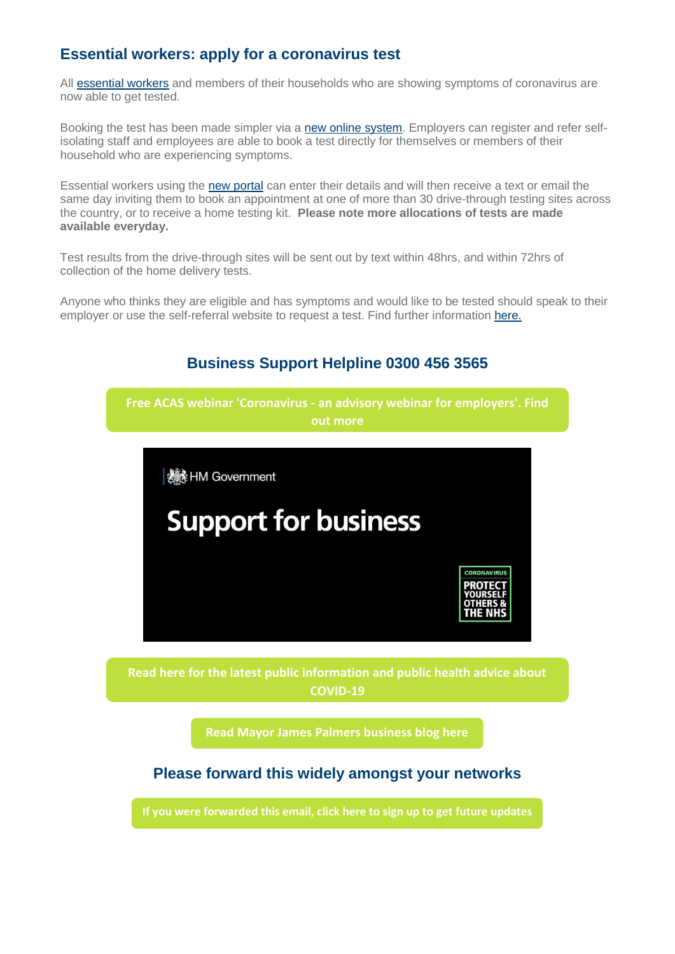## **Essential workers: apply for a coronavirus test**

All [essential workers](https://mills.createsend1.com/t/d-l-mikjity-l-h/) and members of their households who are showing symptoms of coronavirus are now able to get tested.

Booking the test has been made simpler via a [new online system.](https://mills.createsend1.com/t/d-l-mikjity-l-k/) Employers can register and refer selfisolating staff and employees are able to book a test directly for themselves or members of their household who are experiencing symptoms.

Essential workers using the [new portal](https://mills.createsend1.com/t/d-l-mikjity-l-u/) can enter their details and will then receive a text or email the same day inviting them to book an appointment at one of more than 30 drive-through testing sites across the country, or to receive a home testing kit. **Please note more allocations of tests are made available everyday.**

Test results from the drive-through sites will be sent out by text within 48hrs, and within 72hrs of collection of the home delivery tests.

Anyone who thinks they are eligible and has symptoms and would like to be tested should speak to their employer or use the self-referral website to request a test. Find further information [here.](https://mills.createsend1.com/t/d-l-mikjity-l-o/)



**[Read here for the latest public information and public health advice about](https://i7.t.hubspotemail.net/e2t/c/*W5_QYjd8Ct2dXW7L6T4F39rYHN0/*V3Bgp84CTmC1W4qJbqf88thKQ0/5/f18dQhb0S40073FkvWN12PfV9Ylhz7W2twpt_3xy671W5ygs5H2p6k0tN8xrZdkZN9Y9W6Wpgp86_ctzfW1Ys88D9ff8h9N8JXznRDJKRtW4Qc53n3w9pmgW8Bd2Tw3rwfQMW8cQcrv4F4y33W7sH_p01TCb6bW5W6p-B3RCKKvW8q-fz63TK6BwW2GmPt820L3K6W7TLrpx3P1n7gN4PtN3H_QkjKW8jgH_c2vJHQLN2mKCcTz7f56V5ryM52FC4NhW5C6w2k5gs689W7sF-jD6K_69HW4ZkgQM77l9tyW2_-myz2L3f7jN7rYDPHM84THN13PsRbsyTXTW30zXRH57X5BWW3bKXxT49KB0NW7CjgBm1LTz4yW2T_f9V2FGqlKW90lggl13yRVSW93-cQM9ckzvFW50mWFG1FQMtyW6KwJLv4sTYjpW1vBC1b7gJgD-W794q2C846pzJW289nzQ937WXlW26W-TY8rHXqKVrhxS54lMT4TW6TbLfn3Z6HBSW4Vbxsr4VfscSW4B43xP6R22bGW53kX1J8GnhCKN1YmJXtfM35DW4s8-wQ3QXXmPW8F6Wj21wX6nvW3NGKZT4lVd3HMndFd_8cnhKW5YZ0767w-M_mW9dYJ9w6SYmBZW8rz6_X3c7rWMW96f0zl6fmZQGW9k1T0V5S5HRJW8Bd7LN5R4pzGW7_5jKk5qRzfPW85jv5L7gG7Gv0)  COVID-19**

**[Read Mayor James Palmers business blog here](https://i7.t.hubspotemail.net/e2t/c/*W5_QYjd8Ct2dXW7L6T4F39rYHN0/*W7-sDFB1xVXC8W2BrMdM8ZXlW50/5/f18dQhb0S3_-7Bf-DYW12NBkd5VRkwWW5WdPLB30CkrHW3-xQ7M5G_6myW6lXjvN85sxYWV882B08LTz3tW1WjwD23GdxnjW4qDPR34nWl09W2bsgkg8wh372W2v4ZDG4QNnQPW2fyFgG92hbQSW8Mhq8y4qyhhJW81qhP9769gDKV-76z66-czsVW6nl7wM3BVzDrN2QGKRC31nK8VCBtVT8mW_y1VCwpFT8P8XdXW2-0Rs261_R-tW2m73Fm79vs6HW70_9Mv4MV1GrW5KnlY41Fc5KyW8Fqm865kSpGBW2Pf67C58pgkvW5DkDJb4yjQ70W6Fh8Km3x9cpjW19gzlF74r0LtN8NZ8LgsJXrzW5pSfM02R0k-SW69xrhn8VJqDxW5zk4PT92X04_W1r5FCq7gm5yJW1vsJj56Skn7XW7s4yzw4k3MP9W6KWRk86tMXkRW56bDVp6lg72qW4fNBcZ4M9qhqW2NXDwb1jfXlTW8DNKGw7kjHdlW2hhNVX16ptCLW8Jv5qm5pzNyDW6C5Nqg6gzDt3W6y12qt1p6qgbW8flYQ58YZ4tlW8LPnpW1MX4-yW7LP7Nh2slN3tW1tjxt9162dT7W2Kz3-q80d3pWW2lSBYr1txnl_W3m86--86HvF7W6JTKSt5RJwW_W9b_Ccy18sKqTW6JfZ5f6-S5fhW9jB1nm8Z7zrJW3PDQsX6HtGm4W5s-j2V70GdG7102)**

### **Please forward this widely amongst your networks**

**If you were [forwarded](http://100khomes-co-uk-6985942.hs-sites.com/en-gb/cpca-covid19-businessresiliencesignup?utm_source=hs_email&utm_medium=email&utm_content=2&_hsenc=p2ANqtz-_8ljY9XCSyZgA-bjEYY70PPuuQgpUq3XKA9eXRcCbNQavh2grL5YNnxRuUCHzo_NG1TwyswVSqbTxvjSdI8kKPs9ziTRtLXSKkJr3zZxxflxhr8UGsSkqdZat4Hb3dwv7uEeH9&_hsmi=2) this email, click here to sign up to get future updates**